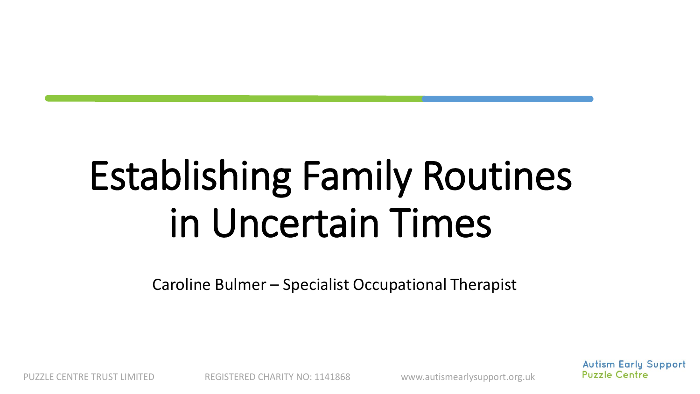# Establishing Family Routines in Uncertain Times

Caroline Bulmer – Specialist Occupational Therapist

**Autism Early Support Puzzle Centre** 

PUZZLE CENTRE TRUST LIMITED REGISTERED CHARITY NO: 1141868 www.autismearlysupport.org.uk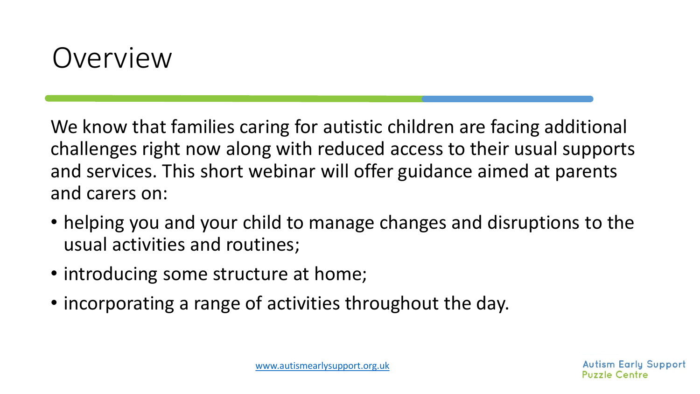#### Overview

We know that families caring for autistic children are facing additional challenges right now along with reduced access to their usual supports and services. This short webinar will offer guidance aimed at parents and carers on:

- helping you and your child to manage changes and disruptions to the usual activities and routines;
- introducing some structure at home;
- incorporating a range of activities throughout the day.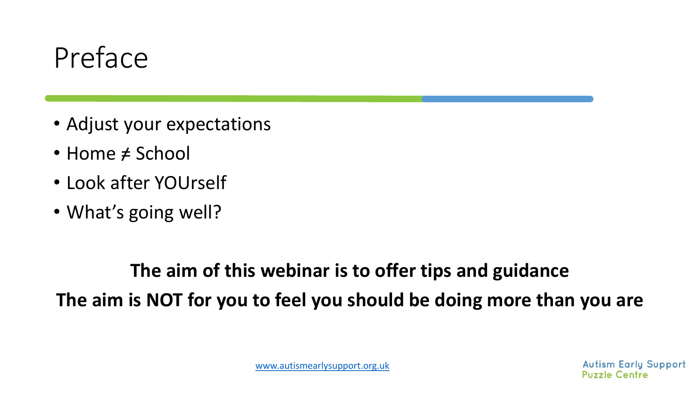#### Preface

- Adjust your expectations
- Home  $\neq$  School
- Look after YOUrself
- What's going well?

#### **The aim of this webinar is to offer tips and guidance The aim is NOT for you to feel you should be doing more than you are**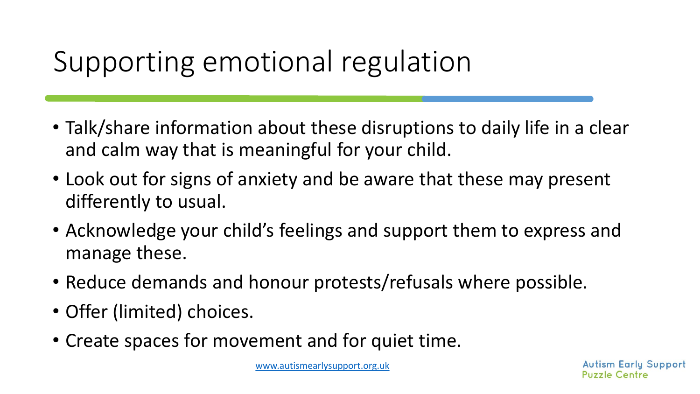### Supporting emotional regulation

- Talk/share information about these disruptions to daily life in a clear and calm way that is meaningful for your child.
- Look out for signs of anxiety and be aware that these may present differently to usual.
- Acknowledge your child's feelings and support them to express and manage these.
- Reduce demands and honour protests/refusals where possible.
- Offer (limited) choices.
- Create spaces for movement and for quiet time.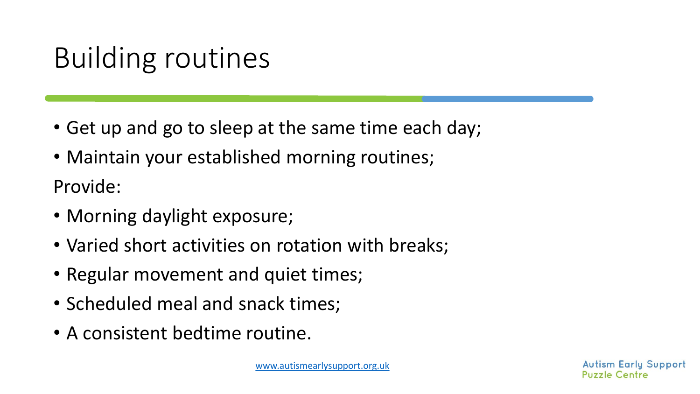## Building routines

- Get up and go to sleep at the same time each day;
- Maintain your established morning routines;

Provide:

- Morning daylight exposure;
- Varied short activities on rotation with breaks;
- Regular movement and quiet times;
- Scheduled meal and snack times;
- A consistent bedtime routine.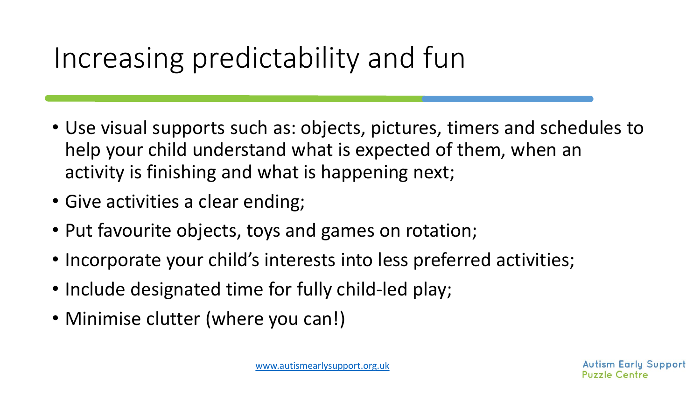## Increasing predictability and fun

- Use visual supports such as: objects, pictures, timers and schedules to help your child understand what is expected of them, when an activity is finishing and what is happening next;
- Give activities a clear ending;
- Put favourite objects, toys and games on rotation;
- Incorporate your child's interests into less preferred activities;
- Include designated time for fully child-led play;
- Minimise clutter (where you can!)